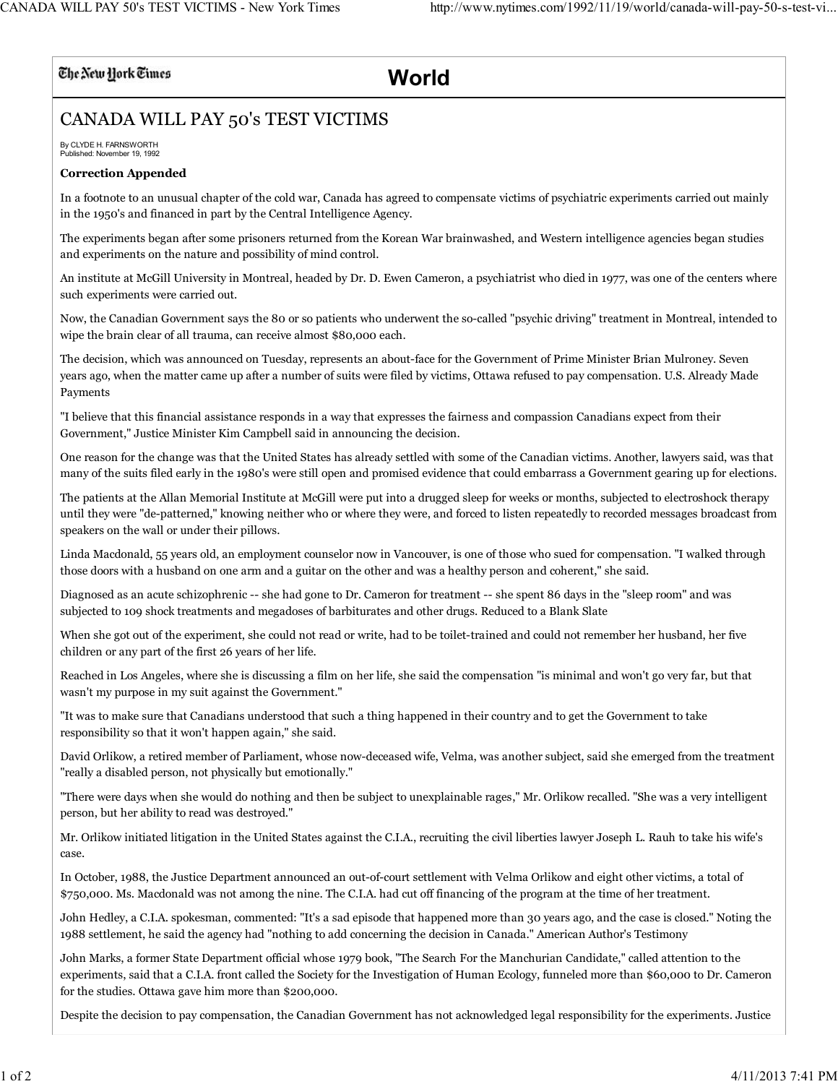## The New York Times

## **World**

## CANADA WILL PAY 50's TEST VICTIMS

By CLYDE H. FARNSWORTH Published: November 19, 1992

## **Correction Appended**

In a footnote to an unusual chapter of the cold war, Canada has agreed to compensate victims of psychiatric experiments carried out mainly in the 1950's and financed in part by the Central Intelligence Agency.

The experiments began after some prisoners returned from the Korean War brainwashed, and Western intelligence agencies began studies and experiments on the nature and possibility of mind control.

An institute at McGill University in Montreal, headed by Dr. D. Ewen Cameron, a psychiatrist who died in 1977, was one of the centers where such experiments were carried out.

Now, the Canadian Government says the 80 or so patients who underwent the so-called "psychic driving" treatment in Montreal, intended to wipe the brain clear of all trauma, can receive almost \$80,000 each.

The decision, which was announced on Tuesday, represents an about-face for the Government of Prime Minister Brian Mulroney. Seven years ago, when the matter came up after a number of suits were filed by victims, Ottawa refused to pay compensation. U.S. Already Made Payments

"I believe that this financial assistance responds in a way that expresses the fairness and compassion Canadians expect from their Government," Justice Minister Kim Campbell said in announcing the decision.

One reason for the change was that the United States has already settled with some of the Canadian victims. Another, lawyers said, was that many of the suits filed early in the 1980's were still open and promised evidence that could embarrass a Government gearing up for elections.

The patients at the Allan Memorial Institute at McGill were put into a drugged sleep for weeks or months, subjected to electroshock therapy until they were "de-patterned," knowing neither who or where they were, and forced to listen repeatedly to recorded messages broadcast from speakers on the wall or under their pillows.

Linda Macdonald, 55 years old, an employment counselor now in Vancouver, is one of those who sued for compensation. "I walked through those doors with a husband on one arm and a guitar on the other and was a healthy person and coherent," she said.

Diagnosed as an acute schizophrenic -- she had gone to Dr. Cameron for treatment -- she spent 86 days in the "sleep room" and was subjected to 109 shock treatments and megadoses of barbiturates and other drugs. Reduced to a Blank Slate

When she got out of the experiment, she could not read or write, had to be toilet-trained and could not remember her husband, her five children or any part of the first 26 years of her life.

Reached in Los Angeles, where she is discussing a film on her life, she said the compensation "is minimal and won't go very far, but that wasn't my purpose in my suit against the Government."

"It was to make sure that Canadians understood that such a thing happened in their country and to get the Government to take responsibility so that it won't happen again," she said.

David Orlikow, a retired member of Parliament, whose now-deceased wife, Velma, was another subject, said she emerged from the treatment "really a disabled person, not physically but emotionally."

"There were days when she would do nothing and then be subject to unexplainable rages," Mr. Orlikow recalled. "She was a very intelligent person, but her ability to read was destroyed."

Mr. Orlikow initiated litigation in the United States against the C.I.A., recruiting the civil liberties lawyer Joseph L. Rauh to take his wife's case.

In October, 1988, the Justice Department announced an out-of-court settlement with Velma Orlikow and eight other victims, a total of \$750,000. Ms. Macdonald was not among the nine. The C.I.A. had cut off financing of the program at the time of her treatment.

John Hedley, a C.I.A. spokesman, commented: "It's a sad episode that happened more than 30 years ago, and the case is closed." Noting the 1988 settlement, he said the agency had "nothing to add concerning the decision in Canada." American Author's Testimony

John Marks, a former State Department official whose 1979 book, "The Search For the Manchurian Candidate," called attention to the experiments, said that a C.I.A. front called the Society for the Investigation of Human Ecology, funneled more than \$60,000 to Dr. Cameron for the studies. Ottawa gave him more than \$200,000.

Despite the decision to pay compensation, the Canadian Government has not acknowledged legal responsibility for the experiments. Justice